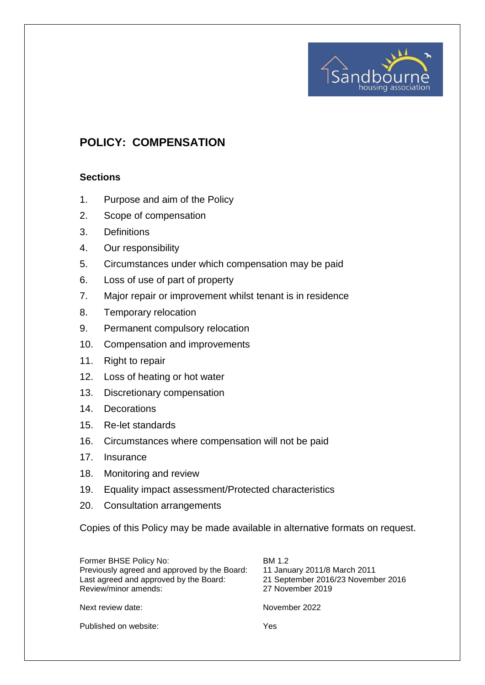# **POLICY: COMPENSATION**

### **Sections**

- 1. Purpose and aim of the Policy
- 2. Scope of compensation
- 3. Definitions
- 4. Our responsibility
- 5. Circumstances under which compensation may be paid
- 6. Loss of use of part of property
- 7. Major repair or improvement whilst tenant is in residence
- 8. Temporary relocation
- 9. Permanent compulsory relocation
- 10. Compensation and improvements
- 11. Right to repair
- 12. Loss of heating or hot water
- 13. Discretionary compensation
- 14. Decorations
- 15. Re-let standards
- 16. Circumstances where compensation will not be paid
- 17. Insurance
- 18. Monitoring and review
- 19. Equality impact assessment/Protected characteristics
- 20. Consultation arrangements

Copies of this Policy may be made available in alternative formats on request.

| Former BHSE Policy No:<br>Previously agreed and approved by the Board:<br>Last agreed and approved by the Board:<br>Review/minor amends: | BM 1.2<br>11 January 2011/8 March 2011<br>21 September 2016/23 November 2016<br>27 November 2019 |
|------------------------------------------------------------------------------------------------------------------------------------------|--------------------------------------------------------------------------------------------------|
| Next review date:                                                                                                                        | November 2022                                                                                    |
| Published on website:                                                                                                                    | Yes                                                                                              |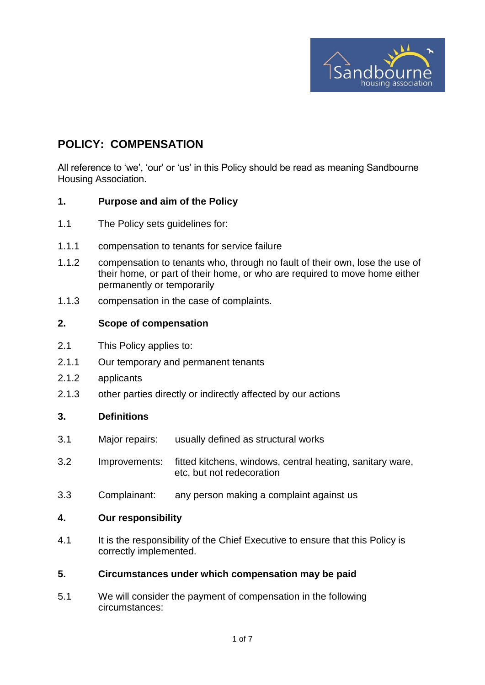

# **POLICY: COMPENSATION**

All reference to 'we', 'our' or 'us' in this Policy should be read as meaning Sandbourne Housing Association.

### **1. Purpose and aim of the Policy**

- 1.1 The Policy sets guidelines for:
- 1.1.1 compensation to tenants for service failure
- 1.1.2 compensation to tenants who, through no fault of their own, lose the use of their home, or part of their home, or who are required to move home either permanently or temporarily
- 1.1.3 compensation in the case of complaints.

### **2. Scope of compensation**

- 2.1 This Policy applies to:
- 2.1.1 Our temporary and permanent tenants
- 2.1.2 applicants
- 2.1.3 other parties directly or indirectly affected by our actions

### **3. Definitions**

- 3.1 Major repairs: usually defined as structural works
- 3.2 Improvements: fitted kitchens, windows, central heating, sanitary ware, etc, but not redecoration
- 3.3 Complainant: any person making a complaint against us

#### **4. Our responsibility**

4.1 It is the responsibility of the Chief Executive to ensure that this Policy is correctly implemented.

#### **5. Circumstances under which compensation may be paid**

5.1 We will consider the payment of compensation in the following circumstances: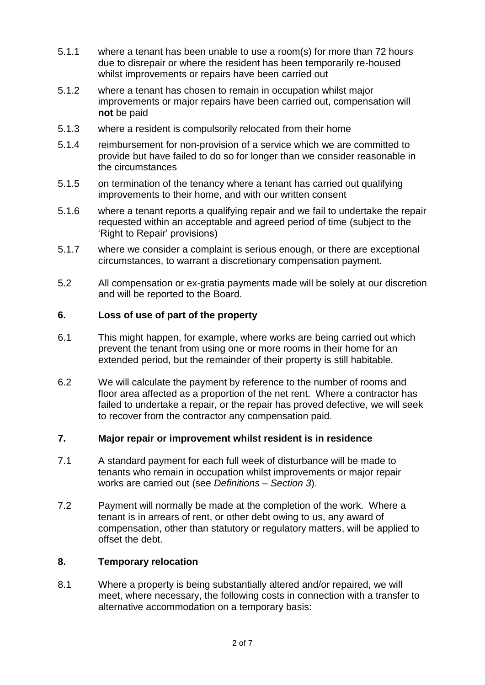- 5.1.1 where a tenant has been unable to use a room(s) for more than 72 hours due to disrepair or where the resident has been temporarily re-housed whilst improvements or repairs have been carried out
- 5.1.2 where a tenant has chosen to remain in occupation whilst major improvements or major repairs have been carried out, compensation will **not** be paid
- 5.1.3 where a resident is compulsorily relocated from their home
- 5.1.4 reimbursement for non-provision of a service which we are committed to provide but have failed to do so for longer than we consider reasonable in the circumstances
- 5.1.5 on termination of the tenancy where a tenant has carried out qualifying improvements to their home, and with our written consent
- 5.1.6 where a tenant reports a qualifying repair and we fail to undertake the repair requested within an acceptable and agreed period of time (subject to the 'Right to Repair' provisions)
- 5.1.7 where we consider a complaint is serious enough, or there are exceptional circumstances, to warrant a discretionary compensation payment.
- 5.2 All compensation or ex-gratia payments made will be solely at our discretion and will be reported to the Board.

#### **6. Loss of use of part of the property**

- 6.1 This might happen, for example, where works are being carried out which prevent the tenant from using one or more rooms in their home for an extended period, but the remainder of their property is still habitable.
- 6.2 We will calculate the payment by reference to the number of rooms and floor area affected as a proportion of the net rent. Where a contractor has failed to undertake a repair, or the repair has proved defective, we will seek to recover from the contractor any compensation paid.

## **7. Major repair or improvement whilst resident is in residence**

- 7.1 A standard payment for each full week of disturbance will be made to tenants who remain in occupation whilst improvements or major repair works are carried out (see *Definitions – Section 3*).
- 7.2 Payment will normally be made at the completion of the work. Where a tenant is in arrears of rent, or other debt owing to us, any award of compensation, other than statutory or regulatory matters, will be applied to offset the debt.

### **8. Temporary relocation**

8.1 Where a property is being substantially altered and/or repaired, we will meet, where necessary, the following costs in connection with a transfer to alternative accommodation on a temporary basis: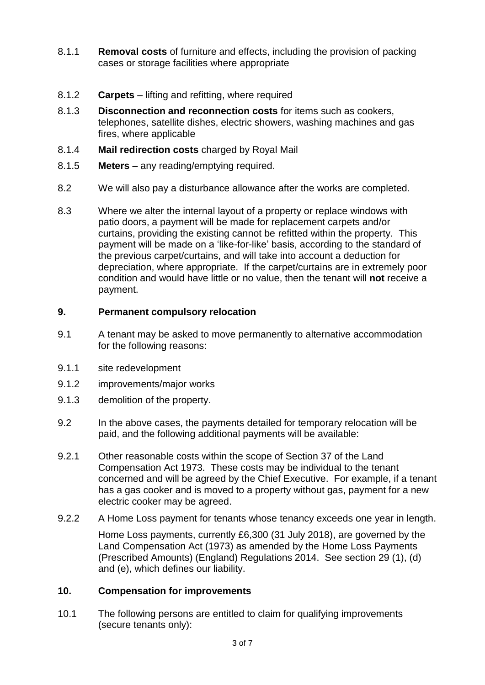- 8.1.1 **Removal costs** of furniture and effects, including the provision of packing cases or storage facilities where appropriate
- 8.1.2 **Carpets**  lifting and refitting, where required
- 8.1.3 **Disconnection and reconnection costs** for items such as cookers, telephones, satellite dishes, electric showers, washing machines and gas fires, where applicable
- 8.1.4 **Mail redirection costs** charged by Royal Mail
- 8.1.5 **Meters** any reading/emptying required.
- 8.2 We will also pay a disturbance allowance after the works are completed.
- 8.3 Where we alter the internal layout of a property or replace windows with patio doors, a payment will be made for replacement carpets and/or curtains, providing the existing cannot be refitted within the property. This payment will be made on a 'like-for-like' basis, according to the standard of the previous carpet/curtains, and will take into account a deduction for depreciation, where appropriate. If the carpet/curtains are in extremely poor condition and would have little or no value, then the tenant will **not** receive a payment.

## **9. Permanent compulsory relocation**

- 9.1 A tenant may be asked to move permanently to alternative accommodation for the following reasons:
- 9.1.1 site redevelopment
- 9.1.2 improvements/major works
- 9.1.3 demolition of the property.
- 9.2 In the above cases, the payments detailed for temporary relocation will be paid, and the following additional payments will be available:
- 9.2.1 Other reasonable costs within the scope of Section 37 of the Land Compensation Act 1973. These costs may be individual to the tenant concerned and will be agreed by the Chief Executive. For example, if a tenant has a gas cooker and is moved to a property without gas, payment for a new electric cooker may be agreed.
- 9.2.2 A Home Loss payment for tenants whose tenancy exceeds one year in length. Home Loss payments, currently £6,300 (31 July 2018), are governed by the

Land Compensation Act (1973) as amended by the Home Loss Payments (Prescribed Amounts) (England) Regulations 2014. See section 29 (1), (d) and (e), which defines our liability.

# **10. Compensation for improvements**

10.1 The following persons are entitled to claim for qualifying improvements (secure tenants only):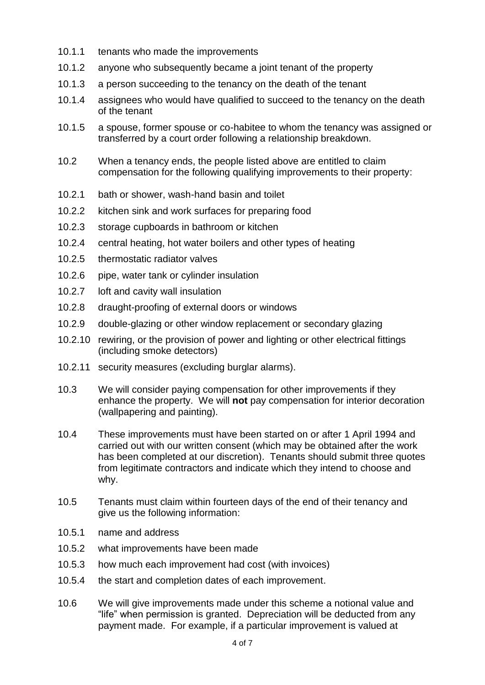- 10.1.1 tenants who made the improvements
- 10.1.2 anyone who subsequently became a joint tenant of the property
- 10.1.3 a person succeeding to the tenancy on the death of the tenant
- 10.1.4 assignees who would have qualified to succeed to the tenancy on the death of the tenant
- 10.1.5 a spouse, former spouse or co-habitee to whom the tenancy was assigned or transferred by a court order following a relationship breakdown.
- 10.2 When a tenancy ends, the people listed above are entitled to claim compensation for the following qualifying improvements to their property:
- 10.2.1 bath or shower, wash-hand basin and toilet
- 10.2.2 kitchen sink and work surfaces for preparing food
- 10.2.3 storage cupboards in bathroom or kitchen
- 10.2.4 central heating, hot water boilers and other types of heating
- 10.2.5 thermostatic radiator valves
- 10.2.6 pipe, water tank or cylinder insulation
- 10.2.7 loft and cavity wall insulation
- 10.2.8 draught-proofing of external doors or windows
- 10.2.9 double-glazing or other window replacement or secondary glazing
- 10.2.10 rewiring, or the provision of power and lighting or other electrical fittings (including smoke detectors)
- 10.2.11 security measures (excluding burglar alarms).
- 10.3 We will consider paying compensation for other improvements if they enhance the property. We will **not** pay compensation for interior decoration (wallpapering and painting).
- 10.4 These improvements must have been started on or after 1 April 1994 and carried out with our written consent (which may be obtained after the work has been completed at our discretion). Tenants should submit three quotes from legitimate contractors and indicate which they intend to choose and why.
- 10.5 Tenants must claim within fourteen days of the end of their tenancy and give us the following information:
- 10.5.1 name and address
- 10.5.2 what improvements have been made
- 10.5.3 how much each improvement had cost (with invoices)
- 10.5.4 the start and completion dates of each improvement.
- 10.6 We will give improvements made under this scheme a notional value and "life" when permission is granted. Depreciation will be deducted from any payment made. For example, if a particular improvement is valued at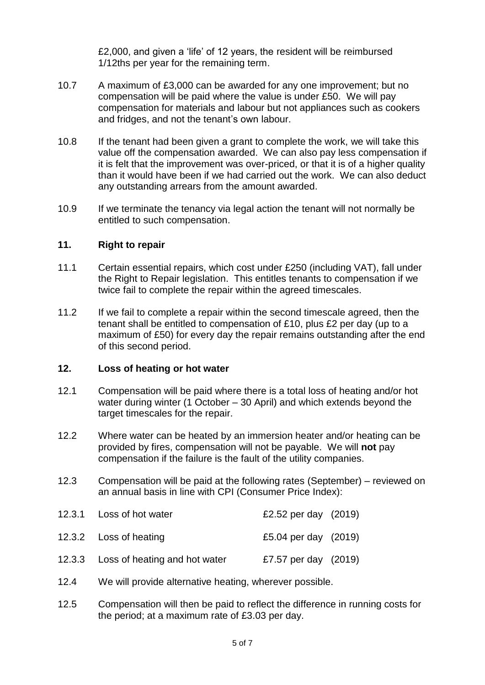£2,000, and given a 'life' of 12 years, the resident will be reimbursed 1/12ths per year for the remaining term.

- 10.7 A maximum of £3,000 can be awarded for any one improvement; but no compensation will be paid where the value is under £50. We will pay compensation for materials and labour but not appliances such as cookers and fridges, and not the tenant's own labour.
- 10.8 If the tenant had been given a grant to complete the work, we will take this value off the compensation awarded. We can also pay less compensation if it is felt that the improvement was over-priced, or that it is of a higher quality than it would have been if we had carried out the work. We can also deduct any outstanding arrears from the amount awarded.
- 10.9 If we terminate the tenancy via legal action the tenant will not normally be entitled to such compensation.

### **11. Right to repair**

- 11.1 Certain essential repairs, which cost under £250 (including VAT), fall under the Right to Repair legislation. This entitles tenants to compensation if we twice fail to complete the repair within the agreed timescales.
- 11.2 If we fail to complete a repair within the second timescale agreed, then the tenant shall be entitled to compensation of £10, plus £2 per day (up to a maximum of £50) for every day the repair remains outstanding after the end of this second period.

#### **12. Loss of heating or hot water**

- 12.1 Compensation will be paid where there is a total loss of heating and/or hot water during winter (1 October – 30 April) and which extends beyond the target timescales for the repair.
- 12.2 Where water can be heated by an immersion heater and/or heating can be provided by fires, compensation will not be payable. We will **not** pay compensation if the failure is the fault of the utility companies.
- 12.3 Compensation will be paid at the following rates (September) reviewed on an annual basis in line with CPI (Consumer Price Index):

| 12.3.1 Loss of hot water             | £2.52 per day $(2019)$ |  |
|--------------------------------------|------------------------|--|
| 12.3.2 Loss of heating               | £5.04 per day (2019)   |  |
| 12.3.3 Loss of heating and hot water | £7.57 per day (2019)   |  |

- 12.4 We will provide alternative heating, wherever possible.
- 12.5 Compensation will then be paid to reflect the difference in running costs for the period; at a maximum rate of £3.03 per day.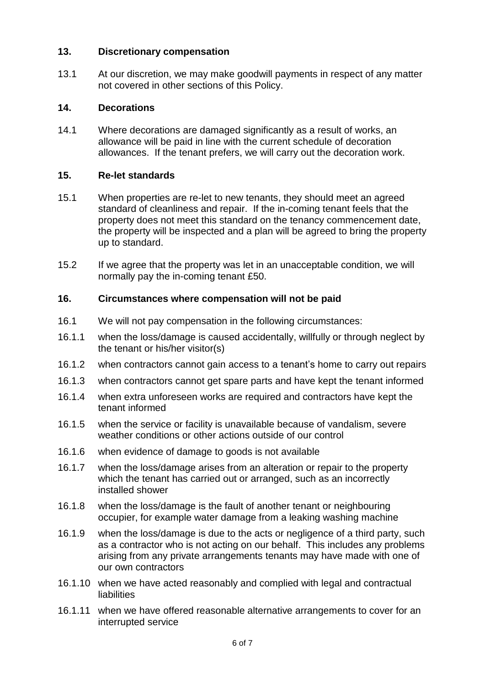## **13. Discretionary compensation**

13.1 At our discretion, we may make goodwill payments in respect of any matter not covered in other sections of this Policy.

## **14. Decorations**

14.1 Where decorations are damaged significantly as a result of works, an allowance will be paid in line with the current schedule of decoration allowances. If the tenant prefers, we will carry out the decoration work.

## **15. Re-let standards**

- 15.1 When properties are re-let to new tenants, they should meet an agreed standard of cleanliness and repair. If the in-coming tenant feels that the property does not meet this standard on the tenancy commencement date, the property will be inspected and a plan will be agreed to bring the property up to standard.
- 15.2 If we agree that the property was let in an unacceptable condition, we will normally pay the in-coming tenant £50.

# **16. Circumstances where compensation will not be paid**

- 16.1 We will not pay compensation in the following circumstances:
- 16.1.1 when the loss/damage is caused accidentally, willfully or through neglect by the tenant or his/her visitor(s)
- 16.1.2 when contractors cannot gain access to a tenant's home to carry out repairs
- 16.1.3 when contractors cannot get spare parts and have kept the tenant informed
- 16.1.4 when extra unforeseen works are required and contractors have kept the tenant informed
- 16.1.5 when the service or facility is unavailable because of vandalism, severe weather conditions or other actions outside of our control
- 16.1.6 when evidence of damage to goods is not available
- 16.1.7 when the loss/damage arises from an alteration or repair to the property which the tenant has carried out or arranged, such as an incorrectly installed shower
- 16.1.8 when the loss/damage is the fault of another tenant or neighbouring occupier, for example water damage from a leaking washing machine
- 16.1.9 when the loss/damage is due to the acts or negligence of a third party, such as a contractor who is not acting on our behalf. This includes any problems arising from any private arrangements tenants may have made with one of our own contractors
- 16.1.10 when we have acted reasonably and complied with legal and contractual liabilities
- 16.1.11 when we have offered reasonable alternative arrangements to cover for an interrupted service